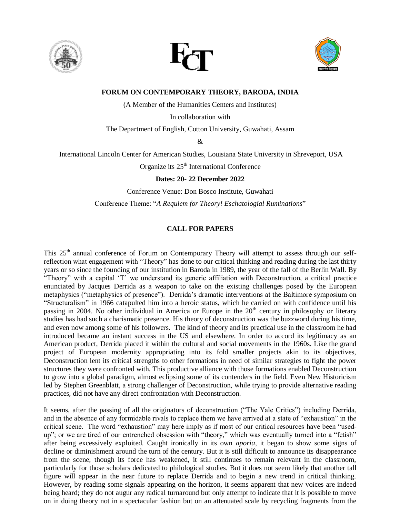





**FORUM ON CONTEMPORARY THEORY, BARODA, INDIA**

(A Member of the Humanities Centers and Institutes)

In collaboration with

The Department of English, Cotton University, Guwahati, Assam

&

International Lincoln Center for American Studies, Louisiana State University in Shreveport, USA

Organize its 25<sup>th</sup> International Conference

**Dates: 20- 22 December 2022**

Conference Venue: Don Bosco Institute, Guwahati Conference Theme: "*A Requiem for Theory! Eschatologial Ruminations*"

### **CALL FOR PAPERS**

This 25<sup>th</sup> annual conference of Forum on Contemporary Theory will attempt to assess through our selfreflection what engagement with "Theory" has done to our critical thinking and reading during the last thirty years or so since the founding of our institution in Baroda in 1989, the year of the fall of the Berlin Wall. By "Theory" with a capital 'T' we understand its generic affiliation with Deconstruction, a critical practice enunciated by Jacques Derrida as a weapon to take on the existing challenges posed by the European metaphysics ("metaphysics of presence"). Derrida's dramatic interventions at the Baltimore symposium on "Structuralism" in 1966 catapulted him into a heroic status, which he carried on with confidence until his passing in 2004. No other individual in America or Europe in the 20<sup>th</sup> century in philosophy or literary studies has had such a charismatic presence. His theory of deconstruction was the buzzword during his time, and even now among some of his followers. The kind of theory and its practical use in the classroom he had introduced became an instant success in the US and elsewhere. In order to accord its legitimacy as an American product, Derrida placed it within the cultural and social movements in the 1960s. Like the grand project of European modernity appropriating into its fold smaller projects akin to its objectives, Deconstruction lent its critical strengths to other formations in need of similar strategies to fight the power structures they were confronted with. This productive alliance with those formations enabled Deconstruction to grow into a global paradigm, almost eclipsing some of its contenders in the field. Even New Historicism led by Stephen Greenblatt, a strong challenger of Deconstruction, while trying to provide alternative reading practices, did not have any direct confrontation with Deconstruction.

It seems, after the passing of all the originators of deconstruction ("The Yale Critics") including Derrida, and in the absence of any formidable rivals to replace them we have arrived at a state of "exhaustion" in the critical scene. The word "exhaustion" may here imply as if most of our critical resources have been "usedup"; or we are tired of our entrenched obsession with "theory," which was eventually turned into a "fetish" after being excessively exploited. Caught ironically in its own *aporia,* it began to show some signs of decline or diminishment around the turn of the century. But it is still difficult to announce its disappearance from the scene; though its force has weakened, it still continues to remain relevant in the classroom, particularly for those scholars dedicated to philological studies. But it does not seem likely that another tall figure will appear in the near future to replace Derrida and to begin a new trend in critical thinking. However, by reading some signals appearing on the horizon, it seems apparent that new voices are indeed being heard; they do not augur any radical turnaround but only attempt to indicate that it is possible to move on in doing theory not in a spectacular fashion but on an attenuated scale by recycling fragments from the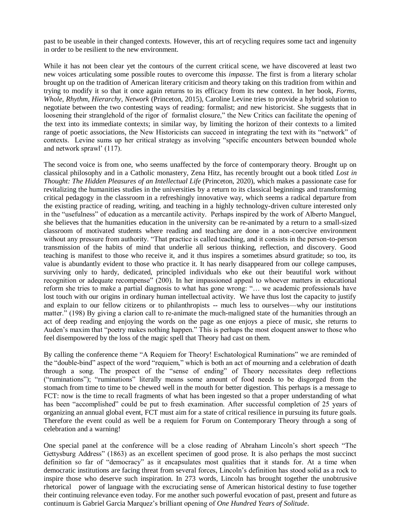past to be useable in their changed contexts. However, this art of recycling requires some tact and ingenuity in order to be resilient to the new environment.

While it has not been clear yet the contours of the current critical scene, we have discovered at least two new voices articulating some possible routes to overcome this *impasse*. The first is from a literary scholar brought up on the tradition of American literary criticism and theory taking on this tradition from within and trying to modify it so that it once again returns to its efficacy from its new context. In her book, *Forms, Whole, Rhythm, Hierarchy, Network* (Princeton, 2015), Caroline Levine tries to provide a hybrid solution to negotiate between the two contesting ways of reading: formalist; and new historicist. She suggests that in loosening their stranglehold of the rigor of formalist closure," the New Critics can facilitate the opening of the text into its immediate contexts; in similar way, by limiting the horizon of their contexts to a limited range of poetic associations, the New Historicists can succeed in integrating the text with its "network" of contexts. Levine sums up her critical strategy as involving "specific encounters between bounded whole and network sprawl' (117).

The second voice is from one, who seems unaffected by the force of contemporary theory. Brought up on classical philosophy and in a Catholic monastery, Zena Hitz, has recently brought out a book titled *Lost in Thought: The Hidden Pleasures of an Intellectual Life* (Princeton, 2020), which makes a passionate case for revitalizing the humanities studies in the universities by a return to its classical beginnings and transforming critical pedagogy in the classroom in a refreshingly innovative way, which seems a radical departure from the existing practice of reading, writing, and teaching in a highly technology-driven culture interested only in the "usefulness" of education as a mercantile activity. Perhaps inspired by the work of Alberto Manguel, she believes that the humanities education in the university can be re-animated by a return to a small-sized classroom of motivated students where reading and teaching are done in a non-coercive environment without any pressure from authority. "That practice is called teaching, and it consists in the person-to-person transmission of the habits of mind that underlie all serious thinking, reflection, and discovery. Good teaching is manifest to those who receive it, and it thus inspires a sometimes absurd gratitude; so too, its value is abundantly evident to those who practice it. It has nearly disappeared from our college campuses, surviving only to hardy, dedicated, principled individuals who eke out their beautiful work without recognition or adequate recompense" (200). In her impassioned appeal to whoever matters in educational reform she tries to make a partial diagnosis to what has gone wrong: "… we academic professionals have lost touch with our origins in ordinary human intellectual activity. We have thus lost the capacity to justify and explain to our fellow citizens or to philanthropists -- much less to ourselves—why our institutions matter." (198) By giving a clarion call to re-animate the much-maligned state of the humanities through an act of deep reading and enjoying the words on the page as one enjoys a piece of music, she returns to Auden's maxim that "poetry makes nothing happen." This is perhaps the most eloquent answer to those who feel disempowered by the loss of the magic spell that Theory had cast on them.

By calling the conference theme "A Requiem for Theory! Eschatological Ruminations" we are reminded of the "double-bind" aspect of the word "requiem," which is both an act of mourning and a celebration of death through a song. The prospect of the "sense of ending" of Theory necessitates deep reflections ("ruminations"); "ruminations" literally means some amount of food needs to be disgorged from the stomach from time to time to be chewed well in the mouth for better digestion. This perhaps is a message to FCT: now is the time to recall fragments of what has been ingested so that a proper understanding of what has been "accomplished" could be put to fresh examination. After successful completion of 25 years of organizing an annual global event, FCT must aim for a state of critical resilience in pursuing its future goals. Therefore the event could as well be a requiem for Forum on Contemporary Theory through a song of celebration and a warning!

One special panel at the conference will be a close reading of Abraham Lincoln's short speech "The Gettysburg Address" (1863) as an excellent specimen of good prose. It is also perhaps the most succinct definition so far of "democracy" as it encapsulates most qualities that it stands for. At a time when democratic institutions are facing threat from several forces, Lincoln's definition has stood solid as a rock to inspire those who deserve such inspiration. In 273 words, Lincoln has brought together the unobtrusive rhetorical power of language with the excruciating sense of American historical destiny to fuse together their continuing relevance even today. For me another such powerful evocation of past, present and future as continuum is Gabriel Garcia Marquez's brilliant opening of *One Hundred Years of Solitude*.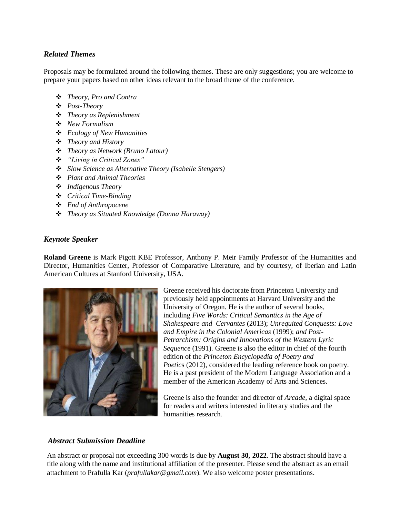# *Related Themes*

Proposals may be formulated around the following themes. These are only suggestions; you are welcome to prepare your papers based on other ideas relevant to the broad theme of the conference.

- *Theory, Pro and Contra*
- *Post-Theory*
- *Theory as Replenishment*
- *New Formalism*
- *Ecology of New Humanities*
- *Theory and History*
- *Theory as Network (Bruno Latour)*
- *"Living in Critical Zones"*
- *Slow Science as Alternative Theory (Isabelle Stengers)*
- *Plant and Animal Theories*
- *Indigenous Theory*
- *Critical Time-Binding*
- *End of Anthropocene*
- *Theory as Situated Knowledge (Donna Haraway)*

### *Keynote Speaker*

**Roland Greene** is Mark Pigott KBE Professor, Anthony P. Meir Family Professor of the Humanities and Director, Humanities Center, Professor of Comparative Literature, and by courtesy, of Iberian and Latin American Cultures at Stanford University, USA.



Greene received his doctorate from Princeton University and previously held appointments at Harvard University and the University of Oregon. He is the author of several books, including *Five Words: Critical Semantics in the Age of Shakespeare and Cervantes* (2013); *Unrequited Conquests: Love and Empire in the Colonial Americas* (1999); *and Post-Petrarchism: Origins and Innovations of the Western Lyric Sequenc*e (1991). Greene is also the editor in chief of the fourth edition of the *Princeton Encyclopedia of Poetry and Poetics* (2012), considered the leading reference book on poetry. He is a past president of the Modern Language Association and a member of the American Academy of Arts and Sciences.

Greene is also the founder and director of *Arcade*, a digital space for readers and writers interested in literary studies and the humanities research.

## *Abstract Submission Deadline*

An abstract or proposal not exceeding 300 words is due by **August 30, 2022**. The abstract should have a title along with the name and institutional affiliation of the presenter. Please send the abstract as an email attachment to Prafulla Kar (*prafullakar@gmail.com*). We also welcome poster presentations.